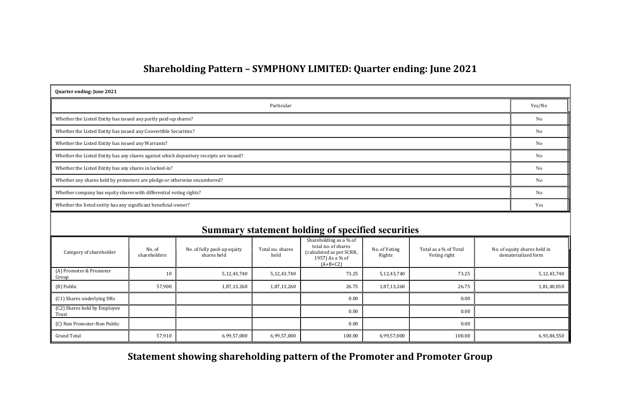# Shareholding Pattern – SYMPHONY LIMITED: Quarter ending: June 2021

| <b>Quarter ending: June 2021</b>                                                       |        |  |  |  |  |  |  |
|----------------------------------------------------------------------------------------|--------|--|--|--|--|--|--|
| Particular                                                                             | Yes/No |  |  |  |  |  |  |
| Whether the Listed Entity has issued any partly paid-up shares?                        | No     |  |  |  |  |  |  |
| Whether the Listed Entity has issued any Convertible Securities?                       | No     |  |  |  |  |  |  |
| Whether the Listed Entity has issued any Warrants?                                     | No     |  |  |  |  |  |  |
| Whether the Listed Entity has any shares against which depository receipts are issued? | No     |  |  |  |  |  |  |
| Whether the Listed Entity has any shares in locked-in?                                 | No     |  |  |  |  |  |  |
| Whether any shares held by promoters are pledge or otherwise encumbered?               | No     |  |  |  |  |  |  |
| Whether company has equity shares with differential voting rights?                     | No     |  |  |  |  |  |  |
| Whether the listed entity has any significant beneficial owner?                        | Yes    |  |  |  |  |  |  |

| <b>Summary statement holding of specified securities</b> |                        |                                            |                          |                                                                                                            |                         |                                       |                                                     |  |  |
|----------------------------------------------------------|------------------------|--------------------------------------------|--------------------------|------------------------------------------------------------------------------------------------------------|-------------------------|---------------------------------------|-----------------------------------------------------|--|--|
| Category of shareholder                                  | No. of<br>shareholders | No. of fully paid-up equity<br>shares held | Total no. shares<br>held | Shareholding as a % of<br>total no. of shares<br>(calculated as per SCRR,<br>1957) As a % of<br>$(A+B+C2)$ | No. of Voting<br>Rights | Total as a % of Total<br>Voting right | No. of equity shares held in<br>dematerialized form |  |  |
| (A) Promoter & Promoter<br>Group                         | 10                     | 5,12,43,740                                | 5,12,43,740              | 73.25                                                                                                      | 5,12,43,740             | 73.25                                 | 5,12,43,740                                         |  |  |
| (B) Public                                               | 57,900                 | 1,87,13,260                                | 1,87,13,260              | 26.75                                                                                                      | 1,87,13,260             | 26.75                                 | 1,81,40,810                                         |  |  |
| (C1) Shares underlying DRs                               |                        |                                            |                          | 0.00                                                                                                       |                         | 0.00                                  |                                                     |  |  |
| (C2) Shares held by Employee<br>Trust                    |                        |                                            |                          | 0.00                                                                                                       |                         | 0.00                                  |                                                     |  |  |
| (C) Non Promoter-Non Public                              |                        |                                            |                          | 0.00                                                                                                       |                         | 0.00                                  |                                                     |  |  |
| <b>Grand Total</b>                                       | 57,910                 | 6,99,57,000                                | 6,99,57,000              | 100.00                                                                                                     | 6,99,57,000             | 100.00                                | 6,93,84,550                                         |  |  |

Statement showing shareholding pattern of the Promoter and Promoter Group

| Yes/No   |
|----------|
| $\rm No$ |
| No       |
| No       |
| No       |
| $\rm No$ |
| No       |
| No       |
| Yes      |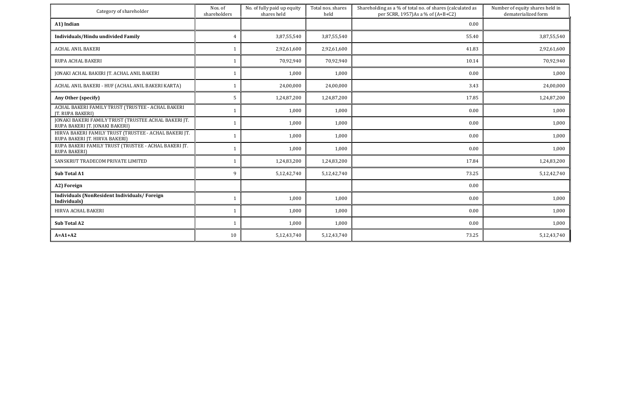| Category of shareholder                                                                | Nos. of<br>shareholders | No. of fully paid up equity<br>shares held | Total nos. shares<br>held | Shareholding as a % of total no. of shares (calculated as<br>per SCRR, 1957)As a % of (A+B+C2) | Number of equity shares held in<br>dematerialized form |
|----------------------------------------------------------------------------------------|-------------------------|--------------------------------------------|---------------------------|------------------------------------------------------------------------------------------------|--------------------------------------------------------|
| A1) Indian                                                                             |                         |                                            |                           | 0.00                                                                                           |                                                        |
| Individuals/Hindu undivided Family                                                     | $\overline{4}$          | 3,87,55,540                                | 3,87,55,540               | 55.40                                                                                          | 3,87,55,540                                            |
| <b>ACHAL ANIL BAKERI</b>                                                               |                         | 2,92,61,600                                | 2,92,61,600               | 41.83                                                                                          | 2,92,61,600                                            |
| RUPA ACHAL BAKERI                                                                      |                         | 70,92,940                                  | 70,92,940                 | 10.14                                                                                          | 70,92,940                                              |
| JONAKI ACHAL BAKERI JT. ACHAL ANIL BAKERI                                              | - 1                     | 1,000                                      | 1,000                     | 0.00                                                                                           | 1,000                                                  |
| ACHAL ANIL BAKERI - HUF (ACHAL ANIL BAKERI KARTA)                                      |                         | 24,00,000                                  | 24,00,000                 | 3.43                                                                                           | 24,00,000                                              |
| Any Other (specify)                                                                    | 5                       | 1,24,87,200                                | 1,24,87,200               | 17.85                                                                                          | 1,24,87,200                                            |
| ACHAL BAKERI FAMILY TRUST (TRUSTEE - ACHAL BAKERI<br>JT. RUPA BAKERI)                  | $\mathbf{1}$            | 1,000                                      | 1,000                     | 0.00                                                                                           | 1,000                                                  |
| JONAKI BAKERI FAMILY TRUST (TRUSTEE ACHAL BAKERI JT.<br>RUPA BAKERI JT. JONAKI BAKERI) | $\mathbf 1$             | 1,000                                      | 1,000                     | 0.00                                                                                           | 1,000                                                  |
| HIRVA BAKERI FAMILY TRUST (TRUSTEE - ACHAL BAKERI JT.<br>RUPA BAKERI JT. HIRVA BAKERI) |                         | 1,000                                      | 1,000                     | 0.00                                                                                           | 1,000                                                  |
| RUPA BAKERI FAMILY TRUST (TRUSTEE - ACHAL BAKERI JT.<br><b>RUPA BAKERI)</b>            |                         | 1,000                                      | 1,000                     | 0.00                                                                                           | 1,000                                                  |
| SANSKRUT TRADECOM PRIVATE LIMITED                                                      |                         | 1,24,83,200                                | 1,24,83,200               | 17.84                                                                                          | 1,24,83,200                                            |
| <b>Sub Total A1</b>                                                                    | 9                       | 5,12,42,740                                | 5,12,42,740               | 73.25                                                                                          | 5,12,42,740                                            |
| A2) Foreign                                                                            |                         |                                            |                           | 0.00                                                                                           |                                                        |
| <b>Individuals (NonResident Individuals/Foreign)</b><br>Individuals)                   |                         | 1,000                                      | 1,000                     | 0.00                                                                                           | 1,000                                                  |
| HIRVA ACHAL BAKERI                                                                     |                         | 1,000                                      | 1,000                     | 0.00                                                                                           | 1,000                                                  |
| Sub Total A2                                                                           |                         | 1,000                                      | 1,000                     | 0.00                                                                                           | 1,000                                                  |
| $A = A1 + A2$                                                                          | 10                      | 5,12,43,740                                | 5,12,43,740               | 73.25                                                                                          | 5,12,43,740                                            |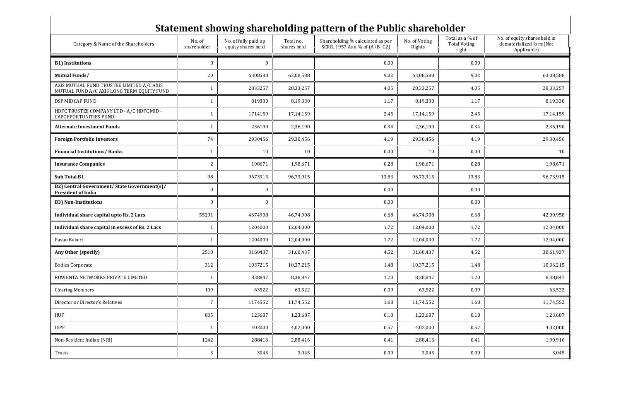| Statement showing shareholding pattern of the Public shareholder                        |                       |                                            |                          |                                                                   |                         |                                                 |                                                                        |  |  |
|-----------------------------------------------------------------------------------------|-----------------------|--------------------------------------------|--------------------------|-------------------------------------------------------------------|-------------------------|-------------------------------------------------|------------------------------------------------------------------------|--|--|
| Category & Name of the Shareholders                                                     | No. of<br>shareholder | No. of fully paid up<br>equity shares held | Total no.<br>shares held | Shareholding % calculated as per<br>SCRR, 1957 As a % of (A+B+C2) | No. of Voting<br>Rights | Total as a % of<br><b>Total Voting</b><br>right | No. of equity shares held in<br>dematerialized form(Not<br>Applicable) |  |  |
| <b>B1)</b> Institutions                                                                 | $\boldsymbol{0}$      | 0                                          |                          | 0.00                                                              |                         | 0.00                                            |                                                                        |  |  |
| <b>Mutual Funds/</b>                                                                    | 20                    | 6308588                                    | 63,08,588                | 9.02                                                              | 63,08,588               | 9.02                                            | 63,08,588                                                              |  |  |
| AXIS MUTUAL FUND TRUSTEE LIMITED A/C AXIS<br>MUTUAL FUND A/C AXIS LONG TERM EQUITY FUND |                       | 2833257                                    | 28,33,257                | 4.05                                                              | 28,33,257               | 4.05                                            | 28,33,257                                                              |  |  |
| DSP MIDCAP FUND                                                                         | -1                    | 819330                                     | 8,19,330                 | 1.17                                                              | 8,19,330                | 1.17                                            | 8,19,330                                                               |  |  |
| HDFC TRUSTEE COMPANY LTD - A/C HDFC MID -<br><b>CAPOPPORTUNITIES FUND</b>               | $\mathbf{1}$          | 1714159                                    | 17,14,159                | 2.45                                                              | 17, 14, 159             | 2.45                                            | 17,14,159                                                              |  |  |
| <b>Alternate Investment Funds</b>                                                       |                       | 236190                                     | 2,36,190                 | 0.34                                                              | 2,36,190                | 0.34                                            | 2,36,190                                                               |  |  |
| <b>Foreign Portfolio Investors</b>                                                      | 74                    | 2930456                                    | 29,30,456                | 4.19                                                              | 29,30,456               | 4.19                                            | 29,30,456                                                              |  |  |
| <b>Financial Institutions/Banks</b>                                                     |                       | 10                                         | 10                       | 0.00                                                              | 10                      | 0.00                                            | 10                                                                     |  |  |
| <b>Insurance Companies</b>                                                              | $\overline{2}$        | 198671                                     | 1,98,671                 | 0.28                                                              | 1,98,671                | 0.28                                            | 1,98,671                                                               |  |  |
| Sub Total B1                                                                            | 98                    | 9673915                                    | 96,73,915                | 13.83                                                             | 96,73,915               | 13.83                                           | 96,73,915                                                              |  |  |
| B2) Central Government/ State Government(s)/<br><b>President of India</b>               | $\bf{0}$              | $\bf{0}$                                   |                          | 0.00                                                              |                         | 0.00                                            |                                                                        |  |  |
| <b>B3) Non-Institutions</b>                                                             | $\bf{0}$              | $\theta$                                   |                          | 0.00                                                              |                         | 0.00                                            |                                                                        |  |  |
| Individual share capital upto Rs. 2 Lacs                                                | 55291                 | 4674908                                    | 46,74,908                | 6.68                                                              | 46,74,908               | 6.68                                            | 42,00,958                                                              |  |  |
| Individual share capital in excess of Rs. 2 Lacs                                        | -1                    | 1204000                                    | 12,04,000                | 1.72                                                              | 12,04,000               | 1.72                                            | 12,04,000                                                              |  |  |
| Pavan Bakeri                                                                            |                       | 1204000                                    | 12,04,000                | 1.72                                                              | 12,04,000               | 1.72                                            | 12,04,000                                                              |  |  |
| Any Other (specify)                                                                     | 2510                  | 3160437                                    | 31,60,437                | 4.52                                                              | 31,60,437               | 4.52                                            | 30,61,937                                                              |  |  |
| <b>Bodies Corporate</b>                                                                 | 312                   | 1037215                                    | 10,37,215                | 1.48                                                              | 10,37,215               | 1.48                                            | 10,36,215                                                              |  |  |
| ROWENTA NETWORKS PRIVATE LIMITED                                                        | -1                    | 838847                                     | 8,38,847                 | 1.20                                                              | 8,38,847                | 1.20                                            | 8,38,847                                                               |  |  |
| <b>Clearing Members</b>                                                                 | 109                   | 63522                                      | 63,522                   | 0.09                                                              | 63,522                  | 0.09                                            | 63,522                                                                 |  |  |
| Director or Director's Relatives                                                        | $\overline{7}$        | 1174552                                    | 11,74,552                | 1.68                                                              | 11,74,552               | 1.68                                            | 11,74,552                                                              |  |  |
| HUF                                                                                     | 835                   | 123687                                     | 1,23,687                 | 0.18                                                              | 1,23,687                | 0.18                                            | 1,23,687                                                               |  |  |
| <b>IEPF</b>                                                                             | $\mathbf{1}$          | 402000                                     | 4,02,000                 | 0.57                                                              | 4,02,000                | 0.57                                            | 4,02,000                                                               |  |  |
| Non-Resident Indian (NRI)                                                               | 1242                  | 288416                                     | 2,88,416                 | 0.41                                                              | 2,88,416                | 0.41                                            | 1,90,916                                                               |  |  |
| Trusts                                                                                  | $\mathbf{3}$          | 3045                                       | 3,045                    | 0.00                                                              | 3,045                   | $0.00\,$                                        | 3,045                                                                  |  |  |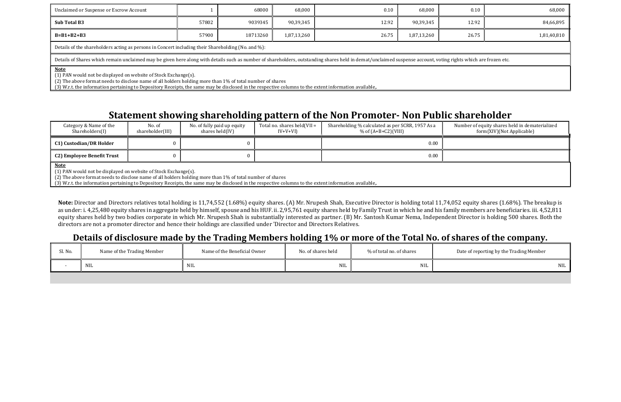| Unclaimed or Suspense or Escrow Account                                                                                                                                                                                                                                                                                                                |       | 68000   | 68,000    | 0.10  | 68,000    | 0.10  | 68,000    |  |  |  |
|--------------------------------------------------------------------------------------------------------------------------------------------------------------------------------------------------------------------------------------------------------------------------------------------------------------------------------------------------------|-------|---------|-----------|-------|-----------|-------|-----------|--|--|--|
| Sub Total B3                                                                                                                                                                                                                                                                                                                                           | 57802 | 9039345 | 90,39,345 | 12.92 | 90,39,345 | 12.92 | 84,66,895 |  |  |  |
| 26.75<br>26.75<br>$B=B1+B2+B3$<br>57900<br>18713260<br>1,87,13,260<br>1,87,13,260<br>1,81,40,810                                                                                                                                                                                                                                                       |       |         |           |       |           |       |           |  |  |  |
| Details of the shareholders acting as persons in Concert including their Shareholding (No. and %):                                                                                                                                                                                                                                                     |       |         |           |       |           |       |           |  |  |  |
| Details of Shares which remain unclaimed may be given here along with details such as number of shareholders, outstanding shares held in demat/unclaimed suspense account, voting rights which are frozen etc.                                                                                                                                         |       |         |           |       |           |       |           |  |  |  |
| <b>Note</b><br>(1) PAN would not be displayed on website of Stock Exchange(s).<br>(2) The above format needs to disclose name of all holders holding more than 1% of total number of shares<br>(3) W.r.t. the information pertaining to Depository Receipts, the same may be disclosed in the respective columns to the extent information available,. |       |         |           |       |           |       |           |  |  |  |

# Statement showing shareholding pattern of the Non Promoter- Non Public shareholder

| Category & Name of the<br>Shareholders(I) | No. of<br>shareholder(III) | No. of fully paid up equity<br>shares held(IV) | Total no. shares held (VII $=$<br>$IV+V+VI$ | Shareholding % calculated as per SCRR, 1957 As a<br>% of $(A+B+C2)$ (VIII) |  |
|-------------------------------------------|----------------------------|------------------------------------------------|---------------------------------------------|----------------------------------------------------------------------------|--|
| <b>C1) Custodian/DR Holder</b>            |                            |                                                |                                             | 0.00                                                                       |  |
| <b>C2) Employee Benefit Trust</b>         |                            |                                                |                                             | 0.00                                                                       |  |

Note: Director and Directors relatives total holding is 11,74,552 (1.68%) equity shares. (A) Mr. Nrupesh Shah, Executive Director is holding total 11,74,052 equity shares (1.68%). The breakup is as under: i. 4,25,480 equity shares in aggregate held by himself, spouse and his HUF. ii. 2,95,761 equity shares held by Family Trust in which he and his family members are beneficiaries. iii. 4,52,811 equity shares held by two bodies corporate in which Mr. Nrupesh Shah is substantially interested as partner. (B) Mr. Santosh Kumar Nema, Independent Director is holding 500 shares. Both the directors are not a promoter director and hence their holdings are classified under 'Director and Directors Relatives.

Number of equity shares held in dematerialized form(XIV)(Not Applicable)

Note

(1) PAN would not be displayed on website of Stock Exchange(s).

(2) The above format needs to disclose name of all holders holding more than 1% of total number of shares

(3) W.r.t. the information pertaining to Depository Receipts, the same may be disclosed in the respective columns to the extent information available,.

### Details of disclosure made by the Trading Members holding 1% or more of the Total No. of shares of the company.

| Sl. No. | Name of the Trading Member | Name of the Beneficial Owner | No. of shares held | % of total no. of shares | Date of reporting by the Trading Member |
|---------|----------------------------|------------------------------|--------------------|--------------------------|-----------------------------------------|
|         | <b>NIL</b>                 | NIL                          | NIL                | $\rm NIL$                | <b>NIL</b>                              |
|         |                            |                              |                    |                          |                                         |